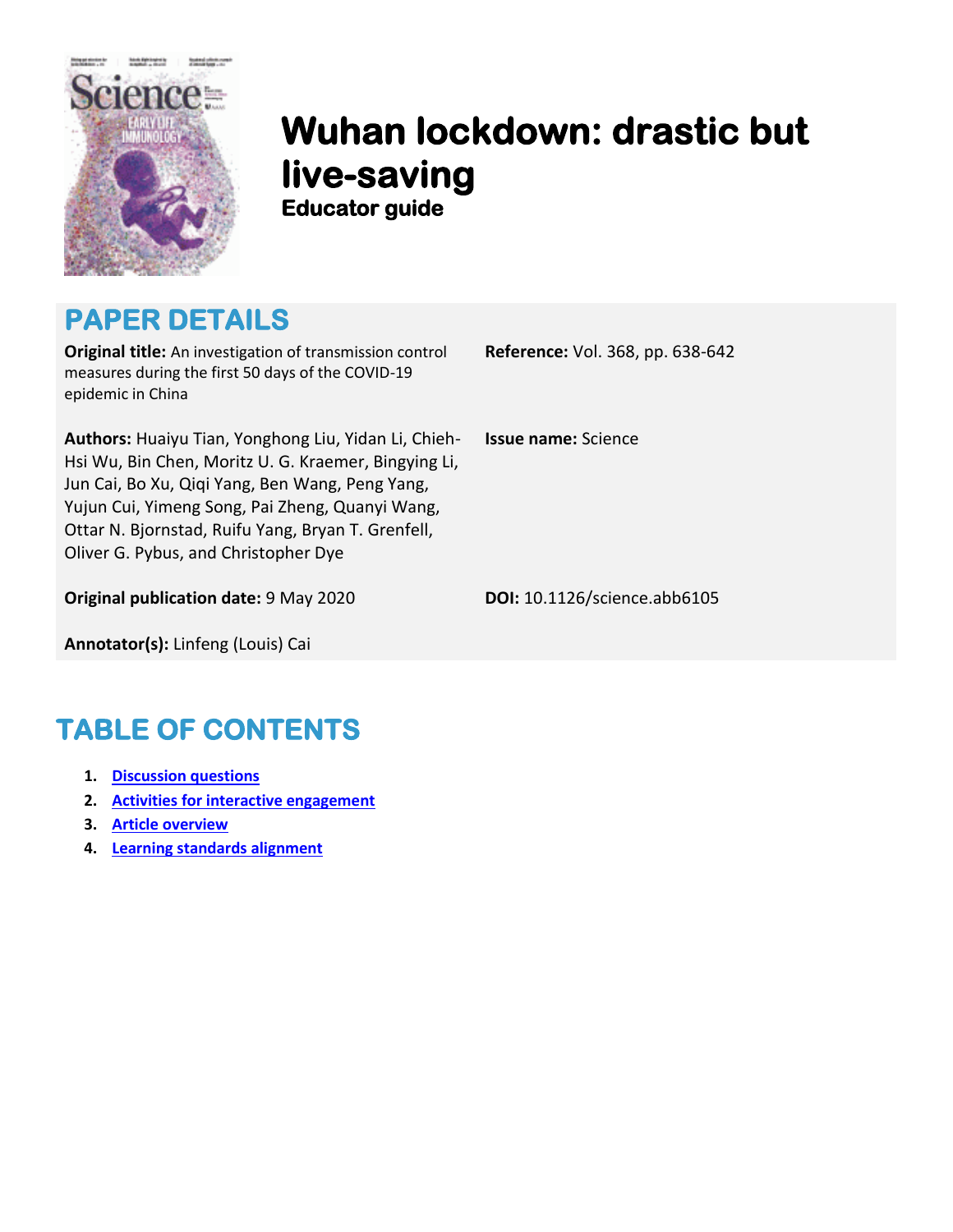

# **Wuhan lockdown: drastic but live-saving Educator guide**

### **PAPER DETAILS**

**Original title:** An investigation of transmission control measures during the first 50 days of the COVID-19 epidemic in China

**Authors:** Huaiyu Tian, Yonghong Liu, Yidan Li, Chieh-Hsi Wu, Bin Chen, Moritz U. G. Kraemer, Bingying Li, Jun Cai, Bo Xu, Qiqi Yang, Ben Wang, Peng Yang, Yujun Cui, Yimeng Song, Pai Zheng, Quanyi Wang, Ottar N. Bjornstad, Ruifu Yang, Bryan T. Grenfell, Oliver G. Pybus, and Christopher Dye

**Original publication date:** 9 May 2020 **DOI:** 10.1126/science.abb6105

**Reference:** Vol. 368, pp. 638-642

**Issue name:** Science

**Annotator(s):** Linfeng (Louis) Cai

## **TABLE OF CONTENTS**

- **1. Discussion questions**
- **2. Activities for interactive engagement**
- **3. Article overview**
- **4. Learning standards alignment**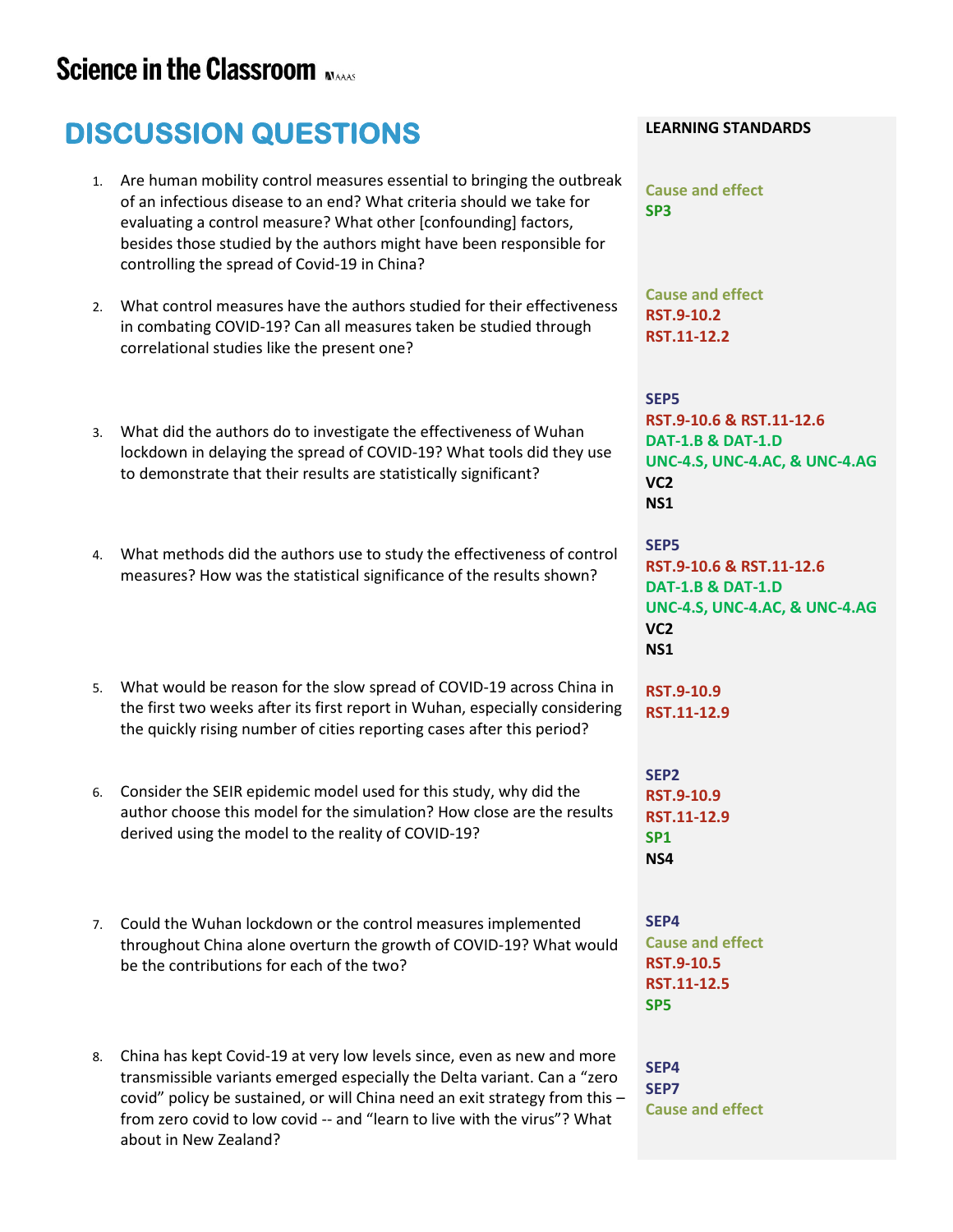### **Science in the Classroom MAAS**

# **DISCUSSION QUESTIONS**

- 1. Are human mobility control measures essential to bringing the outbreak of an infectious disease to an end? What criteria should we take for evaluating a control measure? What other [confounding] factors, besides those studied by the authors might have been responsible for controlling the spread of Covid-19 in China?
- 2. What control measures have the authors studied for their effectiveness in combating COVID-19? Can all measures taken be studied through correlational studies like the present one?
- 3. What did the authors do to investigate the effectiveness of Wuhan lockdown in delaying the spread of COVID-19? What tools did they use to demonstrate that their results are statistically significant?
- 4. What methods did the authors use to study the effectiveness of control measures? How was the statistical significance of the results shown?
- 5. What would be reason for the slow spread of COVID-19 across China in the first two weeks after its first report in Wuhan, especially considering the quickly rising number of cities reporting cases after this period?
- 6. Consider the SEIR epidemic model used for this study, why did the author choose this model for the simulation? How close are the results derived using the model to the reality of COVID-19?
- 7. Could the Wuhan lockdown or the control measures implemented throughout China alone overturn the growth of COVID-19? What would be the contributions for each of the two?
- 8. China has kept Covid-19 at very low levels since, even as new and more transmissible variants emerged especially the Delta variant. Can a "zero covid" policy be sustained, or will China need an exit strategy from this – from zero covid to low covid -- and "learn to live with the virus"? What about in New Zealand?

#### **LEARNING STANDARDS**

**Cause and effect SP3**

**Cause and effect RST.9-10.2 RST.11-12.2**

### **SEP5**

**RST.9-10.6 & RST.11-12.6 DAT-1.B & DAT-1.D UNC-4.S, UNC-4.AC, & UNC-4.AG VC2 NS1**

**SEP5 RST.9-10.6 & RST.11-12.6 DAT-1.B & DAT-1.D UNC-4.S, UNC-4.AC, & UNC-4.AG VC2 NS1**

**RST.9-10.9 RST.11-12.9**

**SEP2 RST.9-10.9 RST.11-12.9 SP1 NS4**

**SEP4 Cause and effect RST.9-10.5 RST.11-12.5 SP5**

**SEP4 SEP7 Cause and effect**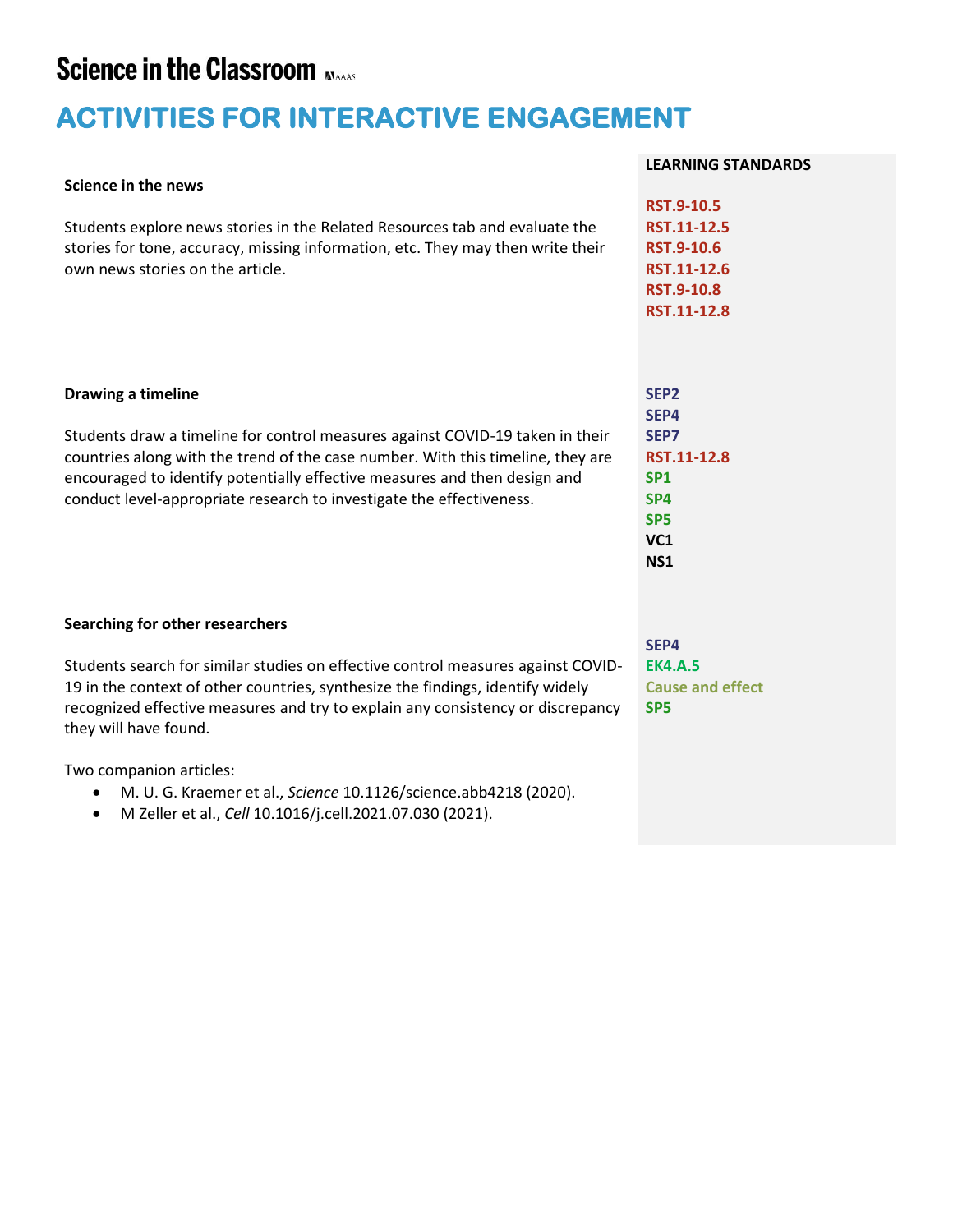### **Science in the Classroom MAAS**

## **ACTIVITIES FOR INTERACTIVE ENGAGEMENT**

#### **Science in the news**

Students explore news stories in the Related Resources tab and evaluate the stories for tone, accuracy, missing information, etc. They may then write their own news stories on the article.

#### **Drawing a timeline**

Students draw a timeline for control measures against COVID-19 taken in their countries along with the trend of the case number. With this timeline, they are encouraged to identify potentially effective measures and then design and conduct level-appropriate research to investigate the effectiveness.

### **Searching for other researchers**

Students search for similar studies on effective control measures against COVID-19 in the context of other countries, synthesize the findings, identify widely recognized effective measures and try to explain any consistency or discrepancy they will have found.

Two companion articles:

- M. U. G. Kraemer et al., *Science* 10.1126/science.abb4218 (2020).
- M Zeller et al., *Cell* 10.1016/j.cell.2021.07.030 (2021).

#### **LEARNING STANDARDS**

| <b>RST.9-10.5</b> |
|-------------------|
| RST.11-12.5       |
| <b>RST.9-10.6</b> |
| RST.11-12.6       |
| <b>RST.9-10.8</b> |
| RST.11-12.8       |

| RST.11-12.8 |
|-------------|
|             |
|             |
|             |
|             |
|             |
|             |

**SEP4 EK4.A.5 Cause and effect SP5**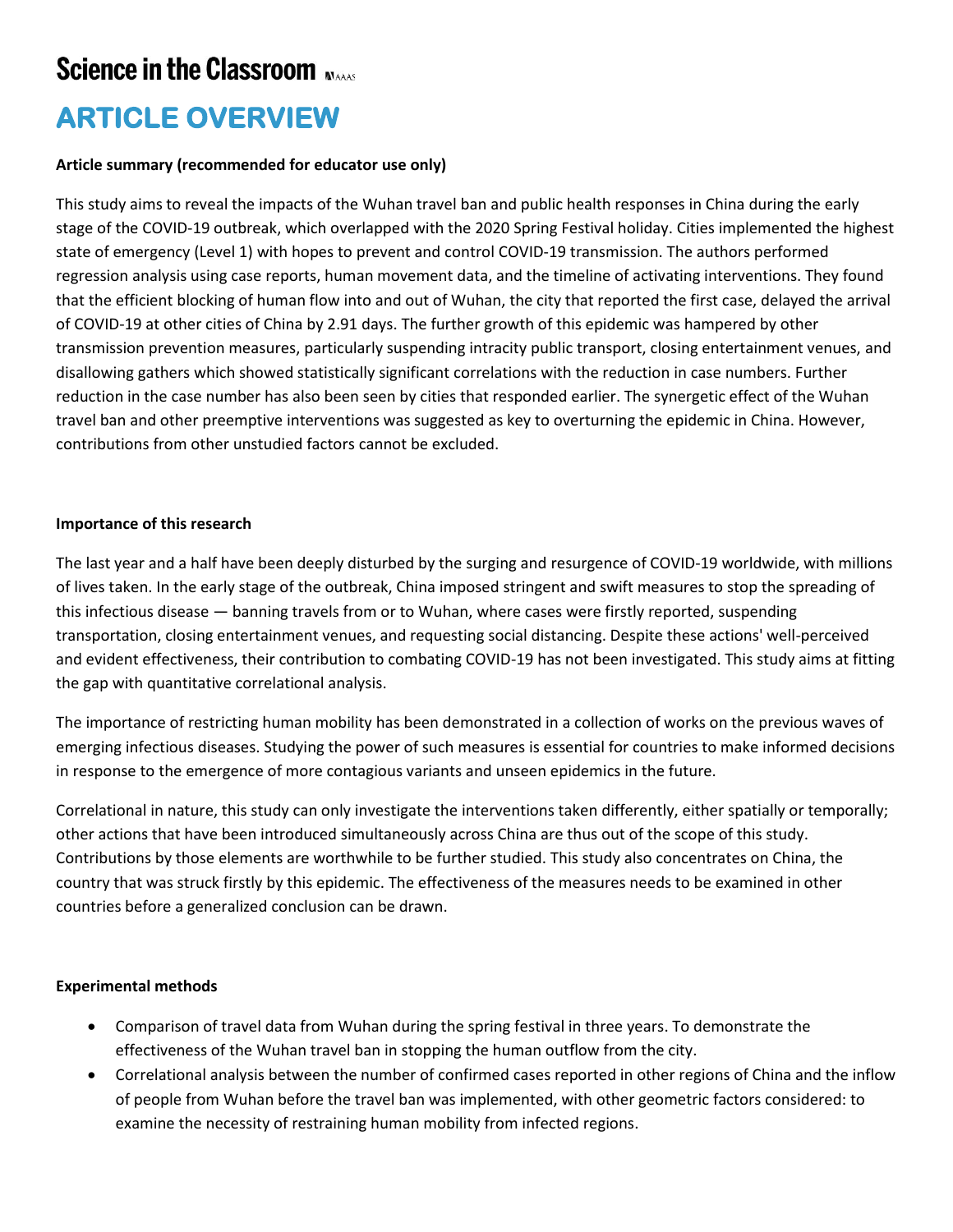## **Science in the Classroom Nave**

### **ARTICLE OVERVIEW**

### **Article summary (recommended for educator use only)**

This study aims to reveal the impacts of the Wuhan travel ban and public health responses in China during the early stage of the COVID-19 outbreak, which overlapped with the 2020 Spring Festival holiday. Cities implemented the highest state of emergency (Level 1) with hopes to prevent and control COVID-19 transmission. The authors performed regression analysis using case reports, human movement data, and the timeline of activating interventions. They found that the efficient blocking of human flow into and out of Wuhan, the city that reported the first case, delayed the arrival of COVID-19 at other cities of China by 2.91 days. The further growth of this epidemic was hampered by other transmission prevention measures, particularly suspending intracity public transport, closing entertainment venues, and disallowing gathers which showed statistically significant correlations with the reduction in case numbers. Further reduction in the case number has also been seen by cities that responded earlier. The synergetic effect of the Wuhan travel ban and other preemptive interventions was suggested as key to overturning the epidemic in China. However, contributions from other unstudied factors cannot be excluded.

### **Importance of this research**

The last year and a half have been deeply disturbed by the surging and resurgence of COVID-19 worldwide, with millions of lives taken. In the early stage of the outbreak, China imposed stringent and swift measures to stop the spreading of this infectious disease — banning travels from or to Wuhan, where cases were firstly reported, suspending transportation, closing entertainment venues, and requesting social distancing. Despite these actions' well-perceived and evident effectiveness, their contribution to combating COVID-19 has not been investigated. This study aims at fitting the gap with quantitative correlational analysis.

The importance of restricting human mobility has been demonstrated in a collection of works on the previous waves of emerging infectious diseases. Studying the power of such measures is essential for countries to make informed decisions in response to the emergence of more contagious variants and unseen epidemics in the future.

Correlational in nature, this study can only investigate the interventions taken differently, either spatially or temporally; other actions that have been introduced simultaneously across China are thus out of the scope of this study. Contributions by those elements are worthwhile to be further studied. This study also concentrates on China, the country that was struck firstly by this epidemic. The effectiveness of the measures needs to be examined in other countries before a generalized conclusion can be drawn.

### **Experimental methods**

- Comparison of travel data from Wuhan during the spring festival in three years. To demonstrate the effectiveness of the Wuhan travel ban in stopping the human outflow from the city.
- Correlational analysis between the number of confirmed cases reported in other regions of China and the inflow of people from Wuhan before the travel ban was implemented, with other geometric factors considered: to examine the necessity of restraining human mobility from infected regions.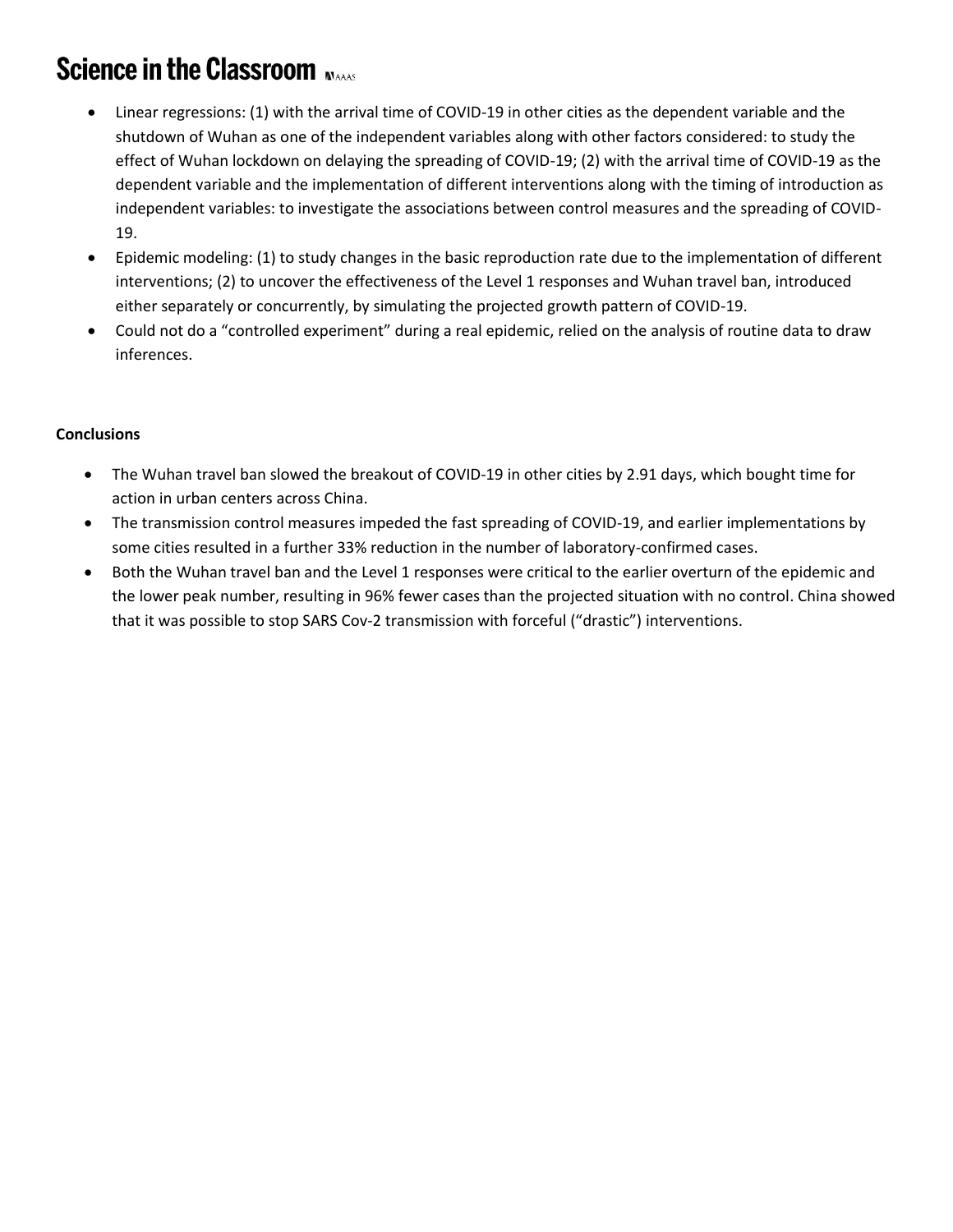## **Science in the Classroom MAAAS**

- Linear regressions: (1) with the arrival time of COVID-19 in other cities as the dependent variable and the shutdown of Wuhan as one of the independent variables along with other factors considered: to study the effect of Wuhan lockdown on delaying the spreading of COVID-19; (2) with the arrival time of COVID-19 as the dependent variable and the implementation of different interventions along with the timing of introduction as independent variables: to investigate the associations between control measures and the spreading of COVID-19.
- Epidemic modeling: (1) to study changes in the basic reproduction rate due to the implementation of different interventions; (2) to uncover the effectiveness of the Level 1 responses and Wuhan travel ban, introduced either separately or concurrently, by simulating the projected growth pattern of COVID-19.
- Could not do a "controlled experiment" during a real epidemic, relied on the analysis of routine data to draw inferences.

### **Conclusions**

- The Wuhan travel ban slowed the breakout of COVID-19 in other cities by 2.91 days, which bought time for action in urban centers across China.
- The transmission control measures impeded the fast spreading of COVID-19, and earlier implementations by some cities resulted in a further 33% reduction in the number of laboratory-confirmed cases.
- Both the Wuhan travel ban and the Level 1 responses were critical to the earlier overturn of the epidemic and the lower peak number, resulting in 96% fewer cases than the projected situation with no control. China showed that it was possible to stop SARS Cov-2 transmission with forceful ("drastic") interventions.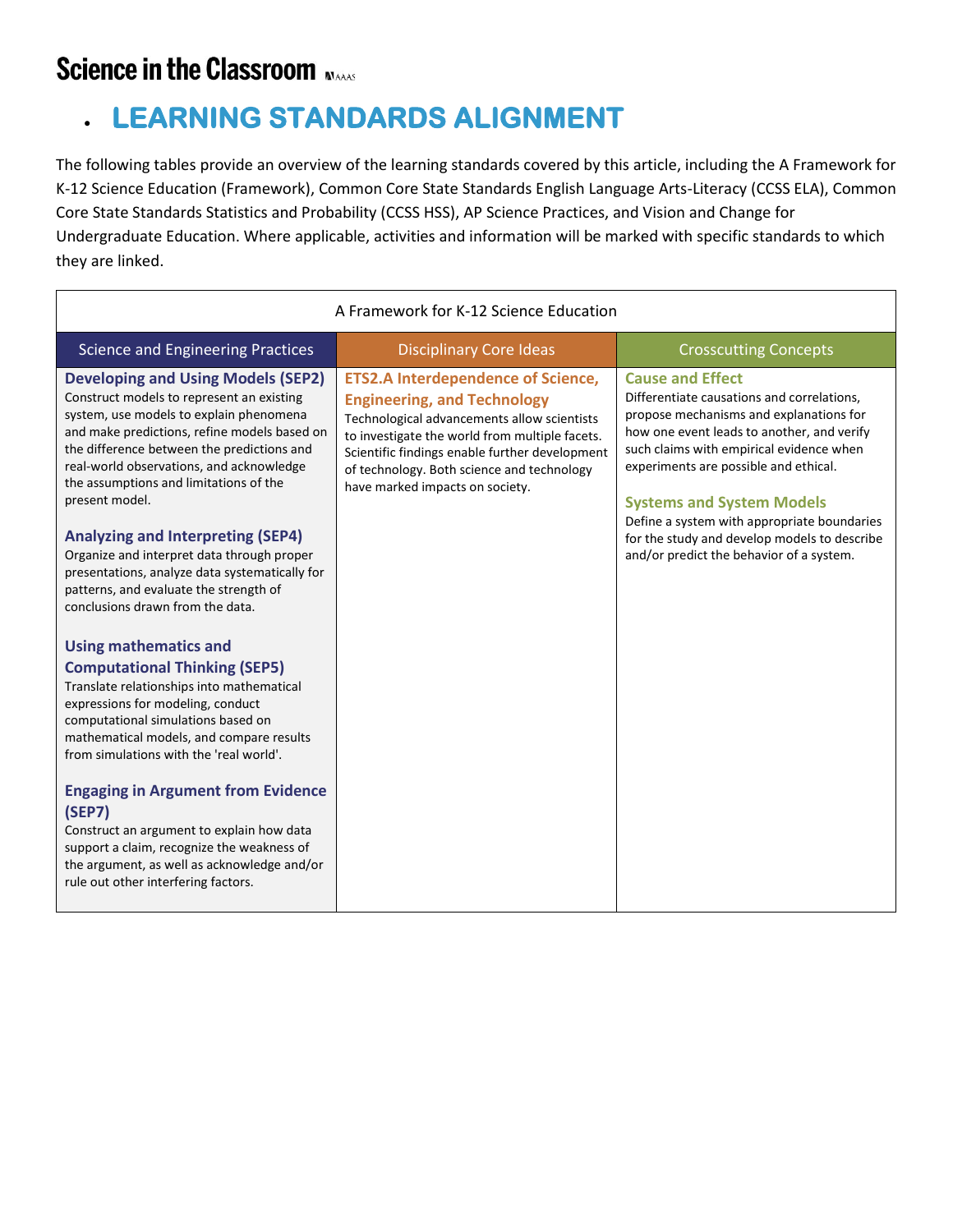### **Science in the Classroom MAAS**

## • **LEARNING STANDARDS ALIGNMENT**

The following tables provide an overview of the learning standards covered by this article, including the A Framework for K-12 Science Education (Framework), Common Core State Standards English Language Arts-Literacy (CCSS ELA), Common Core State Standards Statistics and Probability (CCSS HSS), AP Science Practices, and Vision and Change for Undergraduate Education. Where applicable, activities and information will be marked with specific standards to which they are linked.

| A Framework for K-12 Science Education                                                                                                                                                                                                                                                                                                                                                                                                                                                                                                                            |                                                                                                                                                                                                                                                                                                                     |                                                                                                                                                                                                                                                                                                                                                                                                                                    |  |  |
|-------------------------------------------------------------------------------------------------------------------------------------------------------------------------------------------------------------------------------------------------------------------------------------------------------------------------------------------------------------------------------------------------------------------------------------------------------------------------------------------------------------------------------------------------------------------|---------------------------------------------------------------------------------------------------------------------------------------------------------------------------------------------------------------------------------------------------------------------------------------------------------------------|------------------------------------------------------------------------------------------------------------------------------------------------------------------------------------------------------------------------------------------------------------------------------------------------------------------------------------------------------------------------------------------------------------------------------------|--|--|
| <b>Science and Engineering Practices</b>                                                                                                                                                                                                                                                                                                                                                                                                                                                                                                                          | <b>Disciplinary Core Ideas</b>                                                                                                                                                                                                                                                                                      | <b>Crosscutting Concepts</b>                                                                                                                                                                                                                                                                                                                                                                                                       |  |  |
| <b>Developing and Using Models (SEP2)</b><br>Construct models to represent an existing<br>system, use models to explain phenomena<br>and make predictions, refine models based on<br>the difference between the predictions and<br>real-world observations, and acknowledge<br>the assumptions and limitations of the<br>present model.<br><b>Analyzing and Interpreting (SEP4)</b><br>Organize and interpret data through proper<br>presentations, analyze data systematically for<br>patterns, and evaluate the strength of<br>conclusions drawn from the data. | <b>ETS2.A Interdependence of Science,</b><br><b>Engineering, and Technology</b><br>Technological advancements allow scientists<br>to investigate the world from multiple facets.<br>Scientific findings enable further development<br>of technology. Both science and technology<br>have marked impacts on society. | <b>Cause and Effect</b><br>Differentiate causations and correlations,<br>propose mechanisms and explanations for<br>how one event leads to another, and verify<br>such claims with empirical evidence when<br>experiments are possible and ethical.<br><b>Systems and System Models</b><br>Define a system with appropriate boundaries<br>for the study and develop models to describe<br>and/or predict the behavior of a system. |  |  |
| <b>Using mathematics and</b><br><b>Computational Thinking (SEP5)</b><br>Translate relationships into mathematical<br>expressions for modeling, conduct<br>computational simulations based on<br>mathematical models, and compare results<br>from simulations with the 'real world'.<br><b>Engaging in Argument from Evidence</b><br>(SEP7)<br>Construct an argument to explain how data<br>support a claim, recognize the weakness of<br>the argument, as well as acknowledge and/or<br>rule out other interfering factors.                                       |                                                                                                                                                                                                                                                                                                                     |                                                                                                                                                                                                                                                                                                                                                                                                                                    |  |  |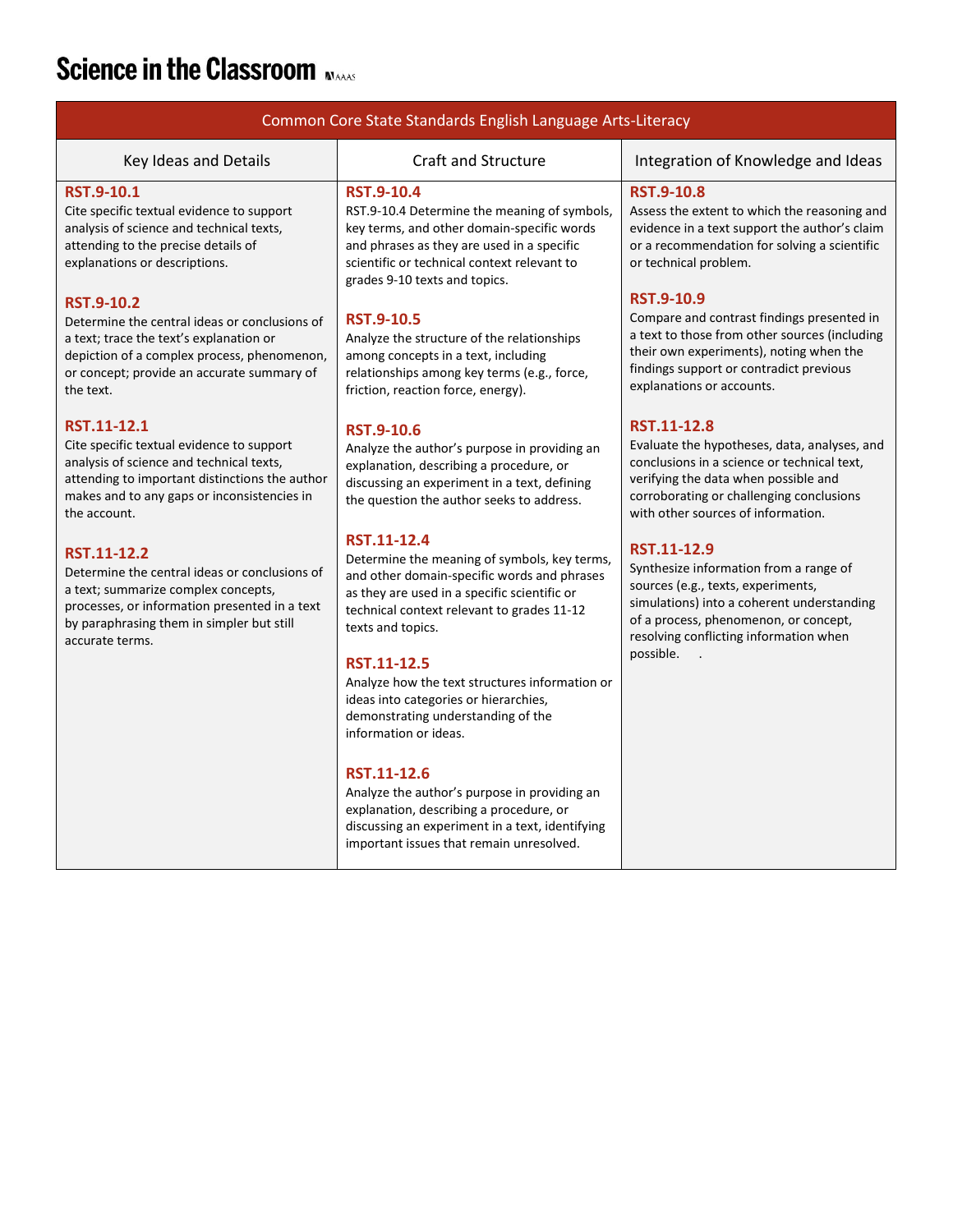# **Science in the Classroom NAAAS**

| Common Core State Standards English Language Arts-Literacy                                                                                                                                                                                               |                                                                                                                                                                                                                                                                                                                                                                                                               |                                                                                                                                                                                                                                                                |  |  |
|----------------------------------------------------------------------------------------------------------------------------------------------------------------------------------------------------------------------------------------------------------|---------------------------------------------------------------------------------------------------------------------------------------------------------------------------------------------------------------------------------------------------------------------------------------------------------------------------------------------------------------------------------------------------------------|----------------------------------------------------------------------------------------------------------------------------------------------------------------------------------------------------------------------------------------------------------------|--|--|
| Key Ideas and Details                                                                                                                                                                                                                                    | <b>Craft and Structure</b>                                                                                                                                                                                                                                                                                                                                                                                    | Integration of Knowledge and Ideas                                                                                                                                                                                                                             |  |  |
| <b>RST.9-10.1</b><br>Cite specific textual evidence to support<br>analysis of science and technical texts,<br>attending to the precise details of<br>explanations or descriptions.<br><b>RST.9-10.2</b><br>Determine the central ideas or conclusions of | <b>RST.9-10.4</b><br>RST.9-10.4 Determine the meaning of symbols,<br>key terms, and other domain-specific words<br>and phrases as they are used in a specific<br>scientific or technical context relevant to<br>grades 9-10 texts and topics.<br><b>RST.9-10.5</b>                                                                                                                                            | <b>RST.9-10.8</b><br>Assess the extent to which the reasoning and<br>evidence in a text support the author's claim<br>or a recommendation for solving a scientific<br>or technical problem.<br><b>RST.9-10.9</b><br>Compare and contrast findings presented in |  |  |
| a text; trace the text's explanation or<br>depiction of a complex process, phenomenon,<br>or concept; provide an accurate summary of<br>the text.                                                                                                        | Analyze the structure of the relationships<br>among concepts in a text, including<br>relationships among key terms (e.g., force,<br>friction, reaction force, energy).                                                                                                                                                                                                                                        | a text to those from other sources (including<br>their own experiments), noting when the<br>findings support or contradict previous<br>explanations or accounts.                                                                                               |  |  |
| RST.11-12.1<br>Cite specific textual evidence to support<br>analysis of science and technical texts,<br>attending to important distinctions the author<br>makes and to any gaps or inconsistencies in<br>the account.                                    | <b>RST.9-10.6</b><br>Analyze the author's purpose in providing an<br>explanation, describing a procedure, or<br>discussing an experiment in a text, defining<br>the question the author seeks to address.                                                                                                                                                                                                     | RST.11-12.8<br>Evaluate the hypotheses, data, analyses, and<br>conclusions in a science or technical text,<br>verifying the data when possible and<br>corroborating or challenging conclusions<br>with other sources of information.                           |  |  |
| RST.11-12.2<br>Determine the central ideas or conclusions of<br>a text; summarize complex concepts,<br>processes, or information presented in a text<br>by paraphrasing them in simpler but still<br>accurate terms.                                     | RST.11-12.4<br>Determine the meaning of symbols, key terms,<br>and other domain-specific words and phrases<br>as they are used in a specific scientific or<br>technical context relevant to grades 11-12<br>texts and topics.<br><b>RST.11-12.5</b><br>Analyze how the text structures information or<br>ideas into categories or hierarchies,<br>demonstrating understanding of the<br>information or ideas. | RST.11-12.9<br>Synthesize information from a range of<br>sources (e.g., texts, experiments,<br>simulations) into a coherent understanding<br>of a process, phenomenon, or concept,<br>resolving conflicting information when<br>possible.                      |  |  |
|                                                                                                                                                                                                                                                          | RST.11-12.6<br>Analyze the author's purpose in providing an<br>explanation, describing a procedure, or<br>discussing an experiment in a text, identifying<br>important issues that remain unresolved.                                                                                                                                                                                                         |                                                                                                                                                                                                                                                                |  |  |